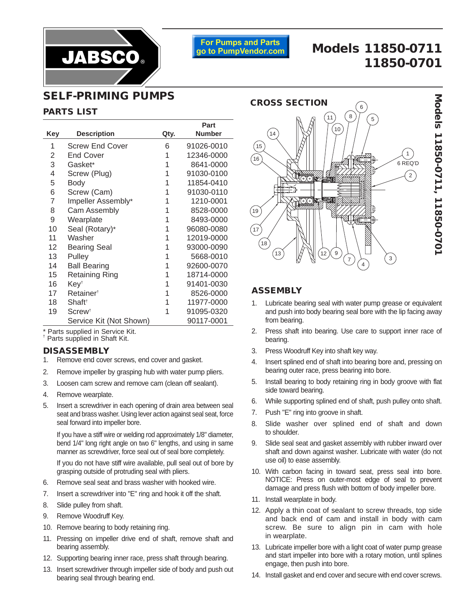

**For Pumps and Parts** go to PumpVendor.com

# **Models 11850-0711 11850-0701**

## **SELF-PRIMING PUMPS**

#### **PARTS LIST**

|     |                         |      | Part          |
|-----|-------------------------|------|---------------|
| Key | <b>Description</b>      | Qty. | <b>Number</b> |
| 1   | <b>Screw End Cover</b>  | 6    | 91026-0010    |
| 2   | <b>End Cover</b>        | 1    | 12346-0000    |
| 3   | Gasket*                 | 1    | 8641-0000     |
| 4   | Screw (Plug)            | 1    | 91030-0100    |
| 5   | Body                    | 1    | 11854-0410    |
| 6   | Screw (Cam)             | 1    | 91030-0110    |
| 7   | Impeller Assembly*      | 1    | 1210-0001     |
| 8   | <b>Cam Assembly</b>     | 1    | 8528-0000     |
| 9   | Wearplate               | 1    | 8493-0000     |
| 10  | Seal (Rotary)*          | 1    | 96080-0080    |
| 11  | Washer                  | 1    | 12019-0000    |
| 12  | <b>Bearing Seal</b>     | 1    | 93000-0090    |
| 13  | Pulley                  | 1    | 5668-0010     |
| 14  | <b>Ball Bearing</b>     | 1    | 92600-0070    |
| 15  | Retaining Ring          | 1    | 18714-0000    |
| 16  | Key <sup>t</sup>        | 1    | 91401-0030    |
| 17  | Retainer <sup>+</sup>   | 1    | 8526-0000     |
| 18  | Shaft <sup>+</sup>      | 1    | 11977-0000    |
| 19  | $Screen^{\dagger}$      | 1    | 91095-0320    |
|     | Service Kit (Not Shown) |      | 90117-0001    |

\* Parts supplied in Service Kit. † Parts supplied in Shaft Kit.

#### **DISASSEMBLY**

- 1. Remove end cover screws, end cover and gasket.
- 2. Remove impeller by grasping hub with water pump pliers.
- 3. Loosen cam screw and remove cam (clean off sealant).
- 4. Remove wearplate.
- 5. Insert a screwdriver in each opening of drain area between seal seat and brass washer. Using lever action against seal seat, force seal forward into impeller bore.

If you have a stiff wire or welding rod approximately 1/8" diameter, bend 1/4" long right angle on two 6" lengths, and using in same manner as screwdriver, force seal out of seal bore completely.

If you do not have stiff wire available, pull seal out of bore by grasping outside of protruding seal with pliers.

- 6. Remove seal seat and brass washer with hooked wire.
- 7. Insert a screwdriver into "E" ring and hook it off the shaft.
- 8. Slide pulley from shaft.
- 9. Remove Woodruff Key.
- 10. Remove bearing to body retaining ring.
- 11. Pressing on impeller drive end of shaft, remove shaft and bearing assembly.
- 12. Supporting bearing inner race, press shaft through bearing.
- 13. Insert screwdriver through impeller side of body and push out bearing seal through bearing end.



#### **ASSEMBLY**

- 1. Lubricate bearing seal with water pump grease or equivalent and push into body bearing seal bore with the lip facing away from bearing.
- 2. Press shaft into bearing. Use care to support inner race of bearing.
- 3. Press Woodruff Key into shaft key way.
- 4. Insert splined end of shaft into bearing bore and, pressing on bearing outer race, press bearing into bore.
- 5. Install bearing to body retaining ring in body groove with flat side toward bearing.
- 6. While supporting splined end of shaft, push pulley onto shaft.
- 7. Push "E" ring into groove in shaft.
- 8. Slide washer over splined end of shaft and down to shoulder.
- 9. Slide seal seat and gasket assembly with rubber inward over shaft and down against washer. Lubricate with water (do not use oil) to ease assembly.
- 10. With carbon facing in toward seat, press seal into bore. NOTICE: Press on outer-most edge of seal to prevent damage and press flush with bottom of body impeller bore.
- 11. Install wearplate in body.
- 12. Apply a thin coat of sealant to screw threads, top side and back end of cam and install in body with cam screw. Be sure to align pin in cam with hole in wearplate.
- 13. Lubricate impeller bore with a light coat of water pump grease and start impeller into bore with a rotary motion, until splines engage, then push into bore.
- 14. Install gasket and end cover and secure with end cover screws.